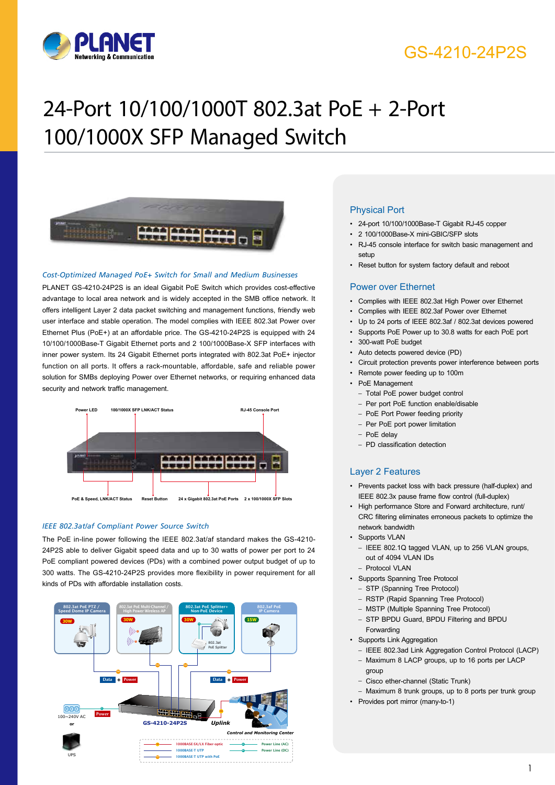

# GS-4210-24P2S

# 24-Port 10/100/1000T 802.3at PoE + 2-Port 100/1000X SFP Managed Switch



#### *Cost-Optimized Managed PoE+ Switch for Small and Medium Businesses*

PLANET GS-4210-24P2S is an ideal Gigabit PoE Switch which provides cost-effective advantage to local area network and is widely accepted in the SMB office network. It offers intelligent Layer 2 data packet switching and management functions, friendly web user interface and stable operation. The model complies with IEEE 802.3at Power over Ethernet Plus (PoE+) at an affordable price. The GS-4210-24P2S is equipped with 24 10/100/1000Base-T Gigabit Ethernet ports and 2 100/1000Base-X SFP interfaces with inner power system. Its 24 Gigabit Ethernet ports integrated with 802.3at PoE+ injector function on all ports. It offers a rack-mountable, affordable, safe and reliable power solution for SMBs deploying Power over Ethernet networks, or requiring enhanced data security and network traffic management.



#### *IEEE 802.3at/af Compliant Power Source Switch*

The PoE in-line power following the IEEE 802.3at/af standard makes the GS-4210- 24P2S able to deliver Gigabit speed data and up to 30 watts of power per port to 24 PoE compliant powered devices (PDs) with a combined power output budget of up to 300 watts. The GS-4210-24P2S provides more flexibility in power requirement for all kinds of PDs with affordable installation costs.



### Physical Port

- 24-port 10/100/1000Base-T Gigabit RJ-45 copper
- 2 100/1000Base-X mini-GBIC/SFP slots
- RJ-45 console interface for switch basic management and setup
- Reset button for system factory default and reboot

#### Power over Ethernet

- Complies with IEEE 802.3at High Power over Ethernet
- Complies with IEEE 802.3af Power over Ethernet
- Up to 24 ports of IEEE 802.3af / 802.3at devices powered
- Supports PoE Power up to 30.8 watts for each PoE port
- 300-watt PoE budget
- Auto detects powered device (PD)
- Circuit protection prevents power interference between ports
- Remote power feeding up to 100m
- PoE Management
	- Total PoE power budget control
	- Per port PoE function enable/disable
- PoE Port Power feeding priority
- Per PoE port power limitation
- PoE delay
- PD classification detection

#### Layer 2 Features

- Prevents packet loss with back pressure (half-duplex) and IEEE 802.3x pause frame flow control (full-duplex)
- High performance Store and Forward architecture, runt/ CRC filtering eliminates erroneous packets to optimize the network bandwidth
- Supports VLAN
- IEEE 802.1Q tagged VLAN, up to 256 VLAN groups, out of 4094 VLAN IDs
- Protocol VLAN
- Supports Spanning Tree Protocol
	- STP (Spanning Tree Protocol)
	- RSTP (Rapid Spanning Tree Protocol)
	- MSTP (Multiple Spanning Tree Protocol)
- STP BPDU Guard, BPDU Filtering and BPDU Forwarding
- Supports Link Aggregation
- IEEE 802.3ad Link Aggregation Control Protocol (LACP)
- Maximum 8 LACP groups, up to 16 ports per LACP group
- Cisco ether-channel (Static Trunk)
- Maximum 8 trunk groups, up to 8 ports per trunk group
- Provides port mirror (many-to-1)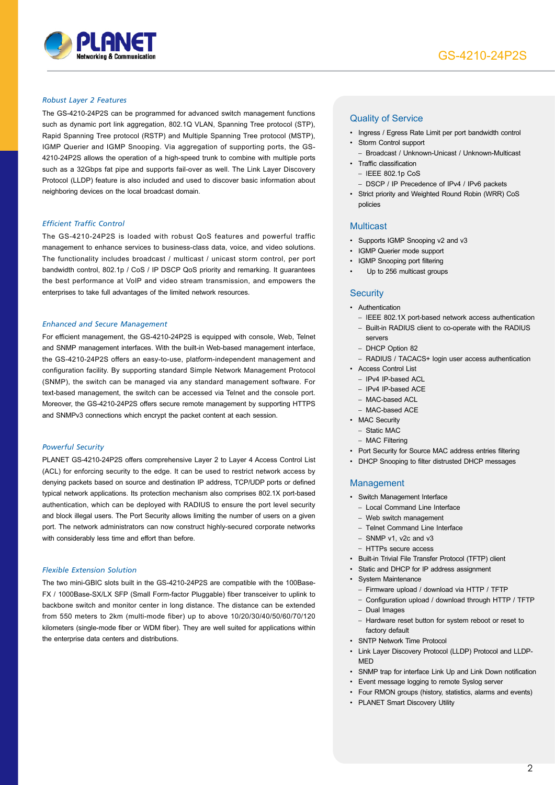

### *Robust Layer 2 Features*

The GS-4210-24P2S can be programmed for advanced switch management functions such as dynamic port link aggregation, 802.1Q VLAN, Spanning Tree protocol (STP), Rapid Spanning Tree protocol (RSTP) and Multiple Spanning Tree protocol (MSTP), IGMP Querier and IGMP Snooping. Via aggregation of supporting ports, the GS-4210-24P2S allows the operation of a high-speed trunk to combine with multiple ports such as a 32Gbps fat pipe and supports fail-over as well. The Link Layer Discovery Protocol (LLDP) feature is also included and used to discover basic information about neighboring devices on the local broadcast domain.

#### *Efficient Traffic Control*

The GS-4210-24P2S is loaded with robust QoS features and powerful traffic management to enhance services to business-class data, voice, and video solutions. The functionality includes broadcast / multicast / unicast storm control, per port bandwidth control, 802.1p / CoS / IP DSCP QoS priority and remarking. It guarantees the best performance at VoIP and video stream transmission, and empowers the enterprises to take full advantages of the limited network resources.

#### *Enhanced and Secure Management*

For efficient management, the GS-4210-24P2S is equipped with console, Web, Telnet and SNMP management interfaces. With the built-in Web-based management interface, the GS-4210-24P2S offers an easy-to-use, platform-independent management and configuration facility. By supporting standard Simple Network Management Protocol (SNMP), the switch can be managed via any standard management software. For text-based management, the switch can be accessed via Telnet and the console port. Moreover, the GS-4210-24P2S offers secure remote management by supporting HTTPS and SNMPv3 connections which encrypt the packet content at each session.

#### *Powerful Security*

PLANET GS-4210-24P2S offers comprehensive Layer 2 to Layer 4 Access Control List (ACL) for enforcing security to the edge. It can be used to restrict network access by denying packets based on source and destination IP address, TCP/UDP ports or defined typical network applications. Its protection mechanism also comprises 802.1X port-based authentication, which can be deployed with RADIUS to ensure the port level security and block illegal users. The Port Security allows limiting the number of users on a given port. The network administrators can now construct highly-secured corporate networks with considerably less time and effort than before.

#### *Flexible Extension Solution*

The two mini-GBIC slots built in the GS-4210-24P2S are compatible with the 100Base-FX / 1000Base-SX/LX SFP (Small Form-factor Pluggable) fiber transceiver to uplink to backbone switch and monitor center in long distance. The distance can be extended from 550 meters to 2km (multi-mode fiber) up to above 10/20/30/40/50/60/70/120 kilometers (single-mode fiber or WDM fiber). They are well suited for applications within the enterprise data centers and distributions.

### Quality of Service

- Ingress / Egress Rate Limit per port bandwidth control
- Storm Control support
- Broadcast / Unknown-Unicast / Unknown-Multicast • Traffic classification
	- $-$  IFFE 802.1p CoS
	- DSCP / IP Precedence of IPv4 / IPv6 packets
- Strict priority and Weighted Round Robin (WRR) CoS policies

#### Multicast

- Supports IGMP Snooping v2 and v3
- IGMP Querier mode support
- IGMP Snooping port filtering
- Up to 256 multicast groups

#### **Security**

- Authentication
	- IEEE 802.1X port-based network access authentication – Built-in RADIUS client to co-operate with the RADIUS servers
	- DHCP Option 82
	- RADIUS / TACACS+ login user access authentication
- Access Control List
	- IPv4 IP-based ACL
	- IPv4 IP-based ACE
	- MAC-based ACL
	- MAC-based ACE
- MAC Security
	- Static MAC – MAC Filtering
	-
- Port Security for Source MAC address entries filtering
- DHCP Snooping to filter distrusted DHCP messages

#### Management

- Switch Management Interface
	- Local Command Line Interface
	- Web switch management
	- Telnet Command Line Interface
	- SNMP v1, v2c and v3
	- HTTPs secure access
- Built-in Trivial File Transfer Protocol (TFTP) client
- Static and DHCP for IP address assignment
- System Maintenance
	- Firmware upload / download via HTTP / TFTP
	- Configuration upload / download through HTTP / TFTP
	- Dual Images
	- Hardware reset button for system reboot or reset to factory default
- SNTP Network Time Protocol
- Link Layer Discovery Protocol (LLDP) Protocol and LLDP-**MED**
- SNMP trap for interface Link Up and Link Down notification
- Event message logging to remote Syslog server
- Four RMON groups (history, statistics, alarms and events)
- PLANET Smart Discovery Utility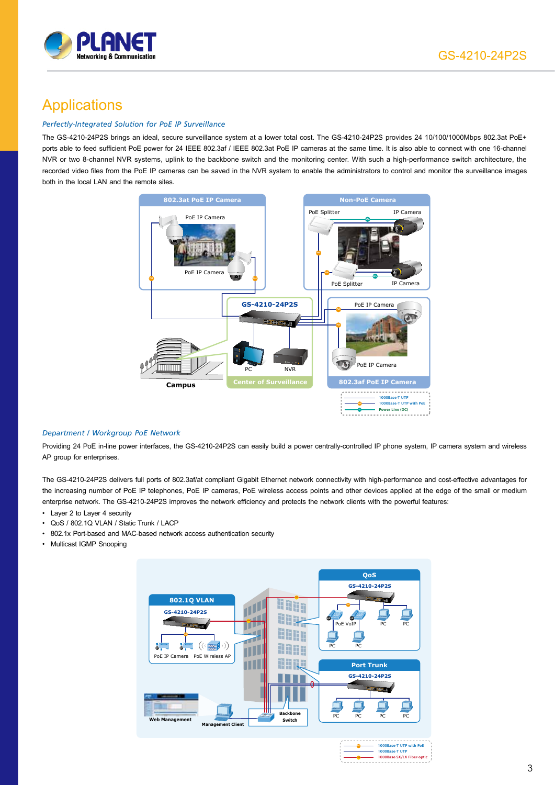

# **Applications**

### *Perfectly-Integrated Solution for PoE IP Surveillance*

The GS-4210-24P2S brings an ideal, secure surveillance system at a lower total cost. The GS-4210-24P2S provides 24 10/100/1000Mbps 802.3at PoE+ ports able to feed sufficient PoE power for 24 IEEE 802.3af / IEEE 802.3at PoE IP cameras at the same time. It is also able to connect with one 16-channel NVR or two 8-channel NVR systems, uplink to the backbone switch and the monitoring center. With such a high-performance switch architecture, the recorded video files from the PoE IP cameras can be saved in the NVR system to enable the administrators to control and monitor the surveillance images both in the local LAN and the remote sites.



### *Department / Workgroup PoE Network*

Providing 24 PoE in-line power interfaces, the GS-4210-24P2S can easily build a power centrally-controlled IP phone system, IP camera system and wireless AP group for enterprises.

The GS-4210-24P2S delivers full ports of 802.3af/at compliant Gigabit Ethernet network connectivity with high-performance and cost-effective advantages for the increasing number of PoE IP telephones, PoE IP cameras, PoE wireless access points and other devices applied at the edge of the small or medium enterprise network. The GS-4210-24P2S improves the network efficiency and protects the network clients with the powerful features:

- Layer 2 to Layer 4 security
- QoS / 802.1Q VLAN / Static Trunk / LACP
- 802.1x Port-based and MAC-based network access authentication security
- Multicast IGMP Snooping

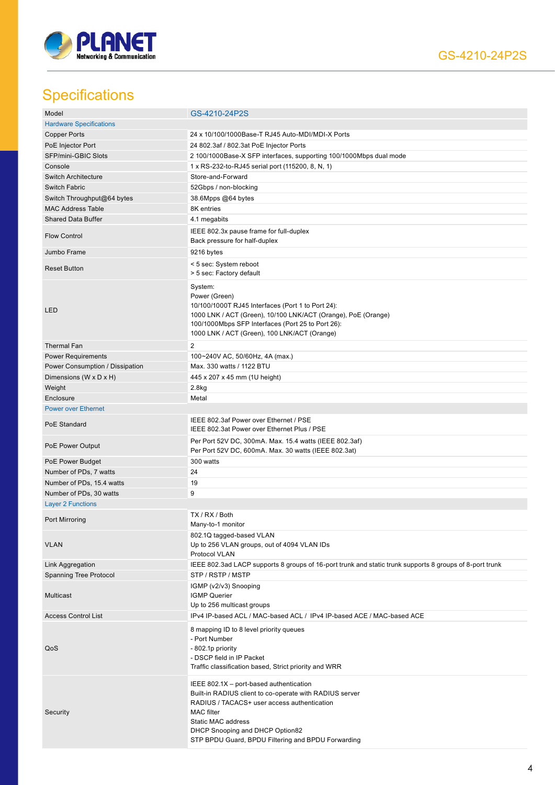

# **Specifications**

| Model                           | GS-4210-24P2S                                                                                                                                                                                                                                                                         |
|---------------------------------|---------------------------------------------------------------------------------------------------------------------------------------------------------------------------------------------------------------------------------------------------------------------------------------|
| <b>Hardware Specifications</b>  |                                                                                                                                                                                                                                                                                       |
| <b>Copper Ports</b>             | 24 x 10/100/1000Base-T RJ45 Auto-MDI/MDI-X Ports                                                                                                                                                                                                                                      |
| PoE Injector Port               | 24 802.3af / 802.3at PoE Injector Ports                                                                                                                                                                                                                                               |
| SFP/mini-GBIC Slots             | 2 100/1000Base-X SFP interfaces, supporting 100/1000Mbps dual mode                                                                                                                                                                                                                    |
| Console                         | 1 x RS-232-to-RJ45 serial port (115200, 8, N, 1)                                                                                                                                                                                                                                      |
| <b>Switch Architecture</b>      | Store-and-Forward                                                                                                                                                                                                                                                                     |
| Switch Fabric                   | 52Gbps / non-blocking                                                                                                                                                                                                                                                                 |
|                                 |                                                                                                                                                                                                                                                                                       |
| Switch Throughput@64 bytes      | 38.6Mpps @64 bytes                                                                                                                                                                                                                                                                    |
| <b>MAC Address Table</b>        | 8K entries                                                                                                                                                                                                                                                                            |
| <b>Shared Data Buffer</b>       | 4.1 megabits                                                                                                                                                                                                                                                                          |
| <b>Flow Control</b>             | IEEE 802.3x pause frame for full-duplex<br>Back pressure for half-duplex                                                                                                                                                                                                              |
| Jumbo Frame                     | 9216 bytes                                                                                                                                                                                                                                                                            |
| <b>Reset Button</b>             | < 5 sec: System reboot<br>> 5 sec: Factory default                                                                                                                                                                                                                                    |
| LED                             | System:<br>Power (Green)<br>10/100/1000T RJ45 Interfaces (Port 1 to Port 24):<br>1000 LNK / ACT (Green), 10/100 LNK/ACT (Orange), PoE (Orange)<br>100/1000Mbps SFP Interfaces (Port 25 to Port 26):<br>1000 LNK / ACT (Green), 100 LNK/ACT (Orange)                                   |
| <b>Thermal Fan</b>              | $\overline{2}$                                                                                                                                                                                                                                                                        |
| <b>Power Requirements</b>       | 100~240V AC, 50/60Hz, 4A (max.)                                                                                                                                                                                                                                                       |
| Power Consumption / Dissipation | Max. 330 watts / 1122 BTU                                                                                                                                                                                                                                                             |
| Dimensions (W x D x H)          | 445 x 207 x 45 mm (1U height)                                                                                                                                                                                                                                                         |
| Weight                          | 2.8kg                                                                                                                                                                                                                                                                                 |
| Enclosure                       | Metal                                                                                                                                                                                                                                                                                 |
| <b>Power over Ethernet</b>      |                                                                                                                                                                                                                                                                                       |
| PoE Standard                    | IEEE 802.3af Power over Ethernet / PSE<br>IEEE 802.3at Power over Ethernet Plus / PSE                                                                                                                                                                                                 |
| PoE Power Output                | Per Port 52V DC, 300mA. Max. 15.4 watts (IEEE 802.3af)<br>Per Port 52V DC, 600mA. Max. 30 watts (IEEE 802.3at)                                                                                                                                                                        |
| PoE Power Budget                | 300 watts                                                                                                                                                                                                                                                                             |
| Number of PDs, 7 watts          | 24                                                                                                                                                                                                                                                                                    |
| Number of PDs, 15.4 watts       | 19                                                                                                                                                                                                                                                                                    |
| Number of PDs, 30 watts         | 9                                                                                                                                                                                                                                                                                     |
|                                 |                                                                                                                                                                                                                                                                                       |
| <b>Layer 2 Functions</b>        |                                                                                                                                                                                                                                                                                       |
| Port Mirroring                  | TX / RX / Both<br>Many-to-1 monitor                                                                                                                                                                                                                                                   |
| <b>VLAN</b>                     | 802.1Q tagged-based VLAN<br>Up to 256 VLAN groups, out of 4094 VLAN IDs<br>Protocol VLAN                                                                                                                                                                                              |
| Link Aggregation                | IEEE 802.3ad LACP supports 8 groups of 16-port trunk and static trunk supports 8 groups of 8-port trunk                                                                                                                                                                               |
| Spanning Tree Protocol          | STP / RSTP / MSTP                                                                                                                                                                                                                                                                     |
| <b>Multicast</b>                | IGMP (v2/v3) Snooping<br><b>IGMP Querier</b><br>Up to 256 multicast groups                                                                                                                                                                                                            |
| <b>Access Control List</b>      | IPv4 IP-based ACL / MAC-based ACL / IPv4 IP-based ACE / MAC-based ACE                                                                                                                                                                                                                 |
| QoS                             | 8 mapping ID to 8 level priority queues<br>- Port Number<br>- 802.1p priority<br>- DSCP field in IP Packet<br>Traffic classification based, Strict priority and WRR                                                                                                                   |
| Security                        | IEEE 802.1X - port-based authentication<br>Built-in RADIUS client to co-operate with RADIUS server<br>RADIUS / TACACS+ user access authentication<br><b>MAC</b> filter<br>Static MAC address<br>DHCP Snooping and DHCP Option82<br>STP BPDU Guard, BPDU Filtering and BPDU Forwarding |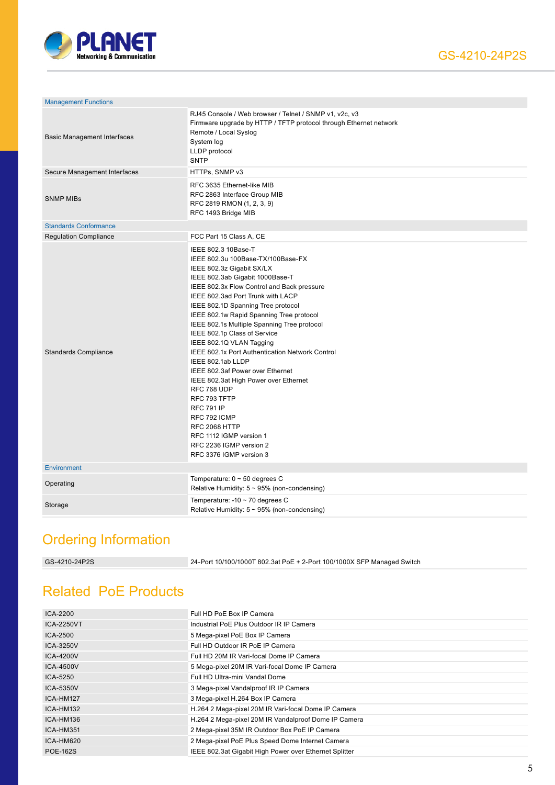

| <b>Management Functions</b>        |                                                                                                                                                                                                                                                                                                                                                                                                                                                                                                                                                                                                                                                                                                                                     |
|------------------------------------|-------------------------------------------------------------------------------------------------------------------------------------------------------------------------------------------------------------------------------------------------------------------------------------------------------------------------------------------------------------------------------------------------------------------------------------------------------------------------------------------------------------------------------------------------------------------------------------------------------------------------------------------------------------------------------------------------------------------------------------|
| <b>Basic Management Interfaces</b> | RJ45 Console / Web browser / Telnet / SNMP v1, v2c, v3<br>Firmware upgrade by HTTP / TFTP protocol through Ethernet network<br>Remote / Local Syslog<br>System log<br>LLDP protocol<br><b>SNTP</b>                                                                                                                                                                                                                                                                                                                                                                                                                                                                                                                                  |
| Secure Management Interfaces       | HTTPs, SNMP v3                                                                                                                                                                                                                                                                                                                                                                                                                                                                                                                                                                                                                                                                                                                      |
| <b>SNMP MIBs</b>                   | RFC 3635 Ethernet-like MIB<br>RFC 2863 Interface Group MIB<br>RFC 2819 RMON (1, 2, 3, 9)<br>RFC 1493 Bridge MIB                                                                                                                                                                                                                                                                                                                                                                                                                                                                                                                                                                                                                     |
| <b>Standards Conformance</b>       |                                                                                                                                                                                                                                                                                                                                                                                                                                                                                                                                                                                                                                                                                                                                     |
| <b>Regulation Compliance</b>       | FCC Part 15 Class A, CE                                                                                                                                                                                                                                                                                                                                                                                                                                                                                                                                                                                                                                                                                                             |
| <b>Standards Compliance</b>        | IEEE 802.3 10Base-T<br>IEEE 802.3u 100Base-TX/100Base-FX<br>IEEE 802.3z Gigabit SX/LX<br>IEEE 802.3ab Gigabit 1000Base-T<br>IEEE 802.3x Flow Control and Back pressure<br>IEEE 802.3ad Port Trunk with LACP<br>IEEE 802.1D Spanning Tree protocol<br>IEEE 802.1w Rapid Spanning Tree protocol<br>IEEE 802.1s Multiple Spanning Tree protocol<br>IEEE 802.1p Class of Service<br>IEEE 802.1Q VLAN Tagging<br>IEEE 802.1x Port Authentication Network Control<br>IEEE 802.1ab LLDP<br>IEEE 802.3af Power over Ethernet<br>IEEE 802.3at High Power over Ethernet<br>RFC 768 UDP<br>RFC 793 TFTP<br><b>RFC 791 IP</b><br>RFC 792 ICMP<br>RFC 2068 HTTP<br>RFC 1112 IGMP version 1<br>RFC 2236 IGMP version 2<br>RFC 3376 IGMP version 3 |
| <b>Environment</b>                 |                                                                                                                                                                                                                                                                                                                                                                                                                                                                                                                                                                                                                                                                                                                                     |
| Operating                          | Temperature: $0 \sim 50$ degrees C<br>Relative Humidity: $5 \sim 95\%$ (non-condensing)                                                                                                                                                                                                                                                                                                                                                                                                                                                                                                                                                                                                                                             |
| Storage                            | Temperature: -10 $\sim$ 70 degrees C<br>Relative Humidity: $5 \sim 95\%$ (non-condensing)                                                                                                                                                                                                                                                                                                                                                                                                                                                                                                                                                                                                                                           |

# Ordering Information

GS-4210-24P2S 24-Port 10/100/1000T 802.3at PoE + 2-Port 100/1000X SFP Managed Switch

# Related PoE Products

| ICA-2200          | Full HD PoE Box IP Camera                              |
|-------------------|--------------------------------------------------------|
| <b>ICA-2250VT</b> | Industrial PoE Plus Outdoor IR IP Camera               |
| ICA-2500          | 5 Mega-pixel PoE Box IP Camera                         |
| ICA-3250V         | Full HD Outdoor IR PoE IP Camera                       |
| ICA-4200V         | Full HD 20M IR Vari-focal Dome IP Camera               |
| ICA-4500V         | 5 Mega-pixel 20M IR Vari-focal Dome IP Camera          |
| ICA-5250          | Full HD Ultra-mini Vandal Dome                         |
| ICA-5350V         | 3 Mega-pixel Vandalproof IR IP Camera                  |
| ICA-HM127         | 3 Mega-pixel H.264 Box IP Camera                       |
| ICA-HM132         | H.264 2 Mega-pixel 20M IR Vari-focal Dome IP Camera    |
| ICA-HM136         | H.264 2 Mega-pixel 20M IR Vandalproof Dome IP Camera   |
| ICA-HM351         | 2 Mega-pixel 35M IR Outdoor Box PoE IP Camera          |
| ICA-HM620         | 2 Mega-pixel PoE Plus Speed Dome Internet Camera       |
| <b>POE-162S</b>   | IEEE 802.3at Gigabit High Power over Ethernet Splitter |